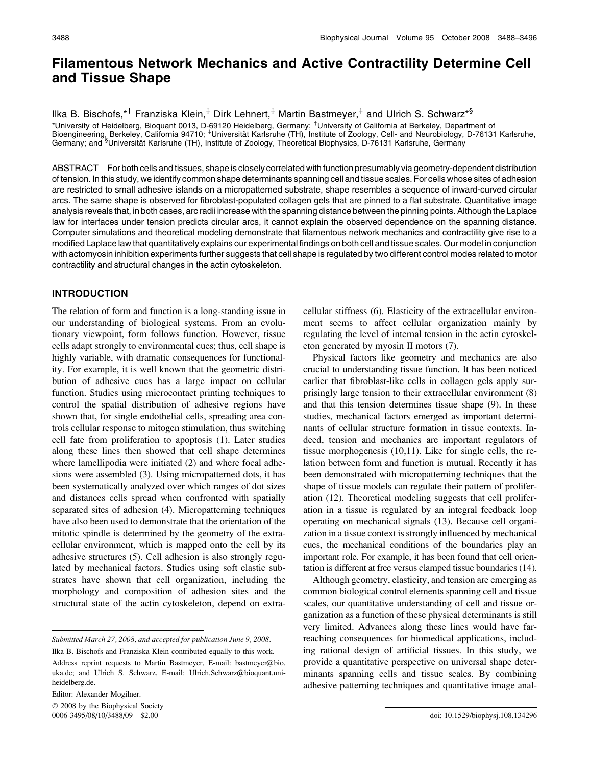# Filamentous Network Mechanics and Active Contractility Determine Cell and Tissue Shape

Ilka B. Bischofs,\*<sup>†</sup> Franziska Klein,<sup>‡</sup> Dirk Lehnert,<sup>‡</sup> Martin Bastmeyer,<sup>‡</sup> and Ulrich S. Schwarz\*<sup>§</sup> \*University of Heidelberg, Bioquant 0013, D-69120 Heidelberg, Germany; <sup>†</sup>University of California at Berkeley, Department of Bioengineering, Berkeley, California 94710; <sup>‡</sup>Universität Karlsruhe (TH), Institute of Zoology, Cell- and Neurobiology, D-76131 Karlsruhe, Germany; and <sup>§</sup>Universität Karlsruhe (TH), Institute of Zoology, Theoretical Biophysics, D-76131 Karlsruhe, Germany

ABSTRACT For both cells and tissues, shape is closely correlated with function presumably via geometry-dependent distribution of tension. In this study, we identify common shape determinants spanning cell and tissue scales. For cells whose sites of adhesion are restricted to small adhesive islands on a micropatterned substrate, shape resembles a sequence of inward-curved circular arcs. The same shape is observed for fibroblast-populated collagen gels that are pinned to a flat substrate. Quantitative image analysis reveals that, in both cases, arc radii increase with the spanning distance between the pinning points. Although the Laplace law for interfaces under tension predicts circular arcs, it cannot explain the observed dependence on the spanning distance. Computer simulations and theoretical modeling demonstrate that filamentous network mechanics and contractility give rise to a modified Laplace law that quantitatively explains our experimental findings on both cell and tissue scales. Our model in conjunction with actomyosin inhibition experiments further suggests that cell shape is regulated by two different control modes related to motor contractility and structural changes in the actin cytoskeleton.

# INTRODUCTION

The relation of form and function is a long-standing issue in our understanding of biological systems. From an evolutionary viewpoint, form follows function. However, tissue cells adapt strongly to environmental cues; thus, cell shape is highly variable, with dramatic consequences for functionality. For example, it is well known that the geometric distribution of adhesive cues has a large impact on cellular function. Studies using microcontact printing techniques to control the spatial distribution of adhesive regions have shown that, for single endothelial cells, spreading area controls cellular response to mitogen stimulation, thus switching cell fate from proliferation to apoptosis (1). Later studies along these lines then showed that cell shape determines where lamellipodia were initiated (2) and where focal adhesions were assembled (3). Using micropatterned dots, it has been systematically analyzed over which ranges of dot sizes and distances cells spread when confronted with spatially separated sites of adhesion (4). Micropatterning techniques have also been used to demonstrate that the orientation of the mitotic spindle is determined by the geometry of the extracellular environment, which is mapped onto the cell by its adhesive structures (5). Cell adhesion is also strongly regulated by mechanical factors. Studies using soft elastic substrates have shown that cell organization, including the morphology and composition of adhesion sites and the structural state of the actin cytoskeleton, depend on extra-

Submitted March 27, 2008, and accepted for publication June 9, 2008.

Ilka B. Bischofs and Franziska Klein contributed equally to this work.

Editor: Alexander Mogilner.

 $© 2008$  by the Biophysical Society 0006-3495/08/10/3488/09 \$2.00

cellular stiffness (6). Elasticity of the extracellular environment seems to affect cellular organization mainly by regulating the level of internal tension in the actin cytoskeleton generated by myosin II motors (7).

Physical factors like geometry and mechanics are also crucial to understanding tissue function. It has been noticed earlier that fibroblast-like cells in collagen gels apply surprisingly large tension to their extracellular environment (8) and that this tension determines tissue shape (9). In these studies, mechanical factors emerged as important determinants of cellular structure formation in tissue contexts. Indeed, tension and mechanics are important regulators of tissue morphogenesis (10,11). Like for single cells, the relation between form and function is mutual. Recently it has been demonstrated with micropatterning techniques that the shape of tissue models can regulate their pattern of proliferation (12). Theoretical modeling suggests that cell proliferation in a tissue is regulated by an integral feedback loop operating on mechanical signals (13). Because cell organization in a tissue context is strongly influenced by mechanical cues, the mechanical conditions of the boundaries play an important role. For example, it has been found that cell orientation is different at free versus clamped tissue boundaries (14).

Although geometry, elasticity, and tension are emerging as common biological control elements spanning cell and tissue scales, our quantitative understanding of cell and tissue organization as a function of these physical determinants is still very limited. Advances along these lines would have farreaching consequences for biomedical applications, including rational design of artificial tissues. In this study, we provide a quantitative perspective on universal shape determinants spanning cells and tissue scales. By combining adhesive patterning techniques and quantitative image anal-

Address reprint requests to Martin Bastmeyer, E-mail: bastmeyer@bio. uka.de; and Ulrich S. Schwarz, E-mail: Ulrich.Schwarz@bioquant.uniheidelberg.de.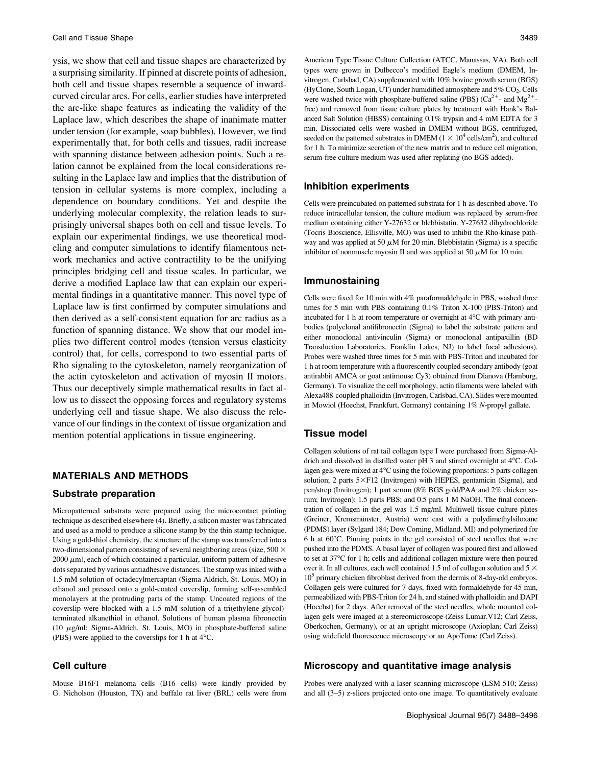ysis, we show that cell and tissue shapes are characterized by a surprising similarity. If pinned at discrete points of adhesion, both cell and tissue shapes resemble a sequence of inwardcurved circular arcs. For cells, earlier studies have interpreted the arc-like shape features as indicating the validity of the Laplace law, which describes the shape of inanimate matter under tension (for example, soap bubbles). However, we find experimentally that, for both cells and tissues, radii increase with spanning distance between adhesion points. Such a relation cannot be explained from the local considerations resulting in the Laplace law and implies that the distribution of tension in cellular systems is more complex, including a dependence on boundary conditions. Yet and despite the underlying molecular complexity, the relation leads to surprisingly universal shapes both on cell and tissue levels. To explain our experimental findings, we use theoretical modeling and computer simulations to identify filamentous network mechanics and active contractility to be the unifying principles bridging cell and tissue scales. In particular, we derive a modified Laplace law that can explain our experimental findings in a quantitative manner. This novel type of Laplace law is first confirmed by computer simulations and then derived as a self-consistent equation for arc radius as a function of spanning distance. We show that our model implies two different control modes (tension versus elasticity control) that, for cells, correspond to two essential parts of Rho signaling to the cytoskeleton, namely reorganization of the actin cytoskeleton and activation of myosin II motors. Thus our deceptively simple mathematical results in fact allow us to dissect the opposing forces and regulatory systems underlying cell and tissue shape. We also discuss the relevance of our findings in the context of tissue organization and mention potential applications in tissue engineering.

# MATERIALS AND METHODS

#### Substrate preparation

Micropatterned substrata were prepared using the microcontact printing technique as described elsewhere (4). Briefly, a silicon master was fabricated and used as a mold to produce a silicone stamp by the thin stamp technique. Using a gold-thiol chemistry, the structure of the stamp was transferred into a two-dimensional pattern consisting of several neighboring areas (size,  $500 \times$  $2000 \mu m$ ), each of which contained a particular, uniform pattern of adhesive dots separated by various antiadhesive distances. The stamp was inked with a 1.5 mM solution of octadecylmercaptan (Sigma Aldrich, St. Louis, MO) in ethanol and pressed onto a gold-coated coverslip, forming self-assembled monolayers at the protruding parts of the stamp. Uncoated regions of the coverslip were blocked with a 1.5 mM solution of a tri(ethylene glycol) terminated alkanethiol in ethanol. Solutions of human plasma fibronectin (10  $\mu$ g/ml; Sigma-Aldrich, St. Louis, MO) in phosphate-buffered saline (PBS) were applied to the coverslips for 1 h at  $4^{\circ}$ C.

#### Cell culture

Mouse B16F1 melanoma cells (B16 cells) were kindly provided by G. Nicholson (Houston, TX) and buffalo rat liver (BRL) cells were from

American Type Tissue Culture Collection (ATCC, Manassas, VA). Both cell types were grown in Dulbecco's modified Eagle's medium (DMEM, Invitrogen, Carlsbad, CA) supplemented with 10% bovine growth serum (BGS) (HyClone, South Logan, UT) under humidified atmosphere and  $5\%$  CO<sub>2</sub>. Cells were washed twice with phosphate-buffered saline (PBS) ( $Ca^{2+}$ - and Mg<sup>2+</sup>free) and removed from tissue culture plates by treatment with Hank's Balanced Salt Solution (HBSS) containing 0.1% trypsin and 4 mM EDTA for 3 min. Dissociated cells were washed in DMEM without BGS, centrifuged, seeded on the patterned substrates in DMEM ( $1 \times 10^4$  cells/cm<sup>2</sup>), and cultured for 1 h. To minimize secretion of the new matrix and to reduce cell migration, serum-free culture medium was used after replating (no BGS added).

## Inhibition experiments

Cells were preincubated on patterned substrata for 1 h as described above. To reduce intracellular tension, the culture medium was replaced by serum-free medium containing either Y-27632 or blebbistatin. Y-27632 dihydrochloride (Tocris Bioscience, Ellisville, MO) was used to inhibit the Rho-kinase pathway and was applied at 50  $\mu$ M for 20 min. Blebbistatin (Sigma) is a specific inhibitor of nonmuscle myosin II and was applied at 50  $\mu$ M for 10 min.

#### Immunostaining

Cells were fixed for 10 min with 4% paraformaldehyde in PBS, washed three times for 5 min with PBS containing 0.1% Triton X-100 (PBS-Triton) and incubated for 1 h at room temperature or overnight at  $4^{\circ}$ C with primary antibodies (polyclonal antifibronectin (Sigma) to label the substrate pattern and either monoclonal antivinculin (Sigma) or monoclonal antipaxillin (BD Transduction Laboratories, Franklin Lakes, NJ) to label focal adhesions). Probes were washed three times for 5 min with PBS-Triton and incubated for 1 h at room temperature with a fluorescently coupled secondary antibody (goat antirabbit AMCA or goat antimouse Cy3) obtained from Dianova (Hamburg, Germany). To visualize the cell morphology, actin filaments were labeled with Alexa488-coupled phalloidin (Invitrogen, Carlsbad, CA). Slides were mounted in Mowiol (Hoechst, Frankfurt, Germany) containing 1% N-propyl gallate.

#### Tissue model

Collagen solutions of rat tail collagen type I were purchased from Sigma-Aldrich and dissolved in distilled water pH 3 and stirred overnight at  $4^{\circ}$ C. Collagen gels were mixed at 4°C using the following proportions: 5 parts collagen solution; 2 parts 5×F12 (Invitrogen) with HEPES, gentamicin (Sigma), and pen/strep (Invitrogen); 1 part serum (8% BGS gold/PAA and 2% chicken serum; Invitrogen); 1.5 parts PBS; and 0.5 parts 1 M NaOH. The final concentration of collagen in the gel was 1.5 mg/ml. Multiwell tissue culture plates (Greiner, Kremsmünster, Austria) were cast with a polydimethylsiloxane (PDMS) layer (Sylgard 184; Dow Corning, Midland, MI) and polymerized for  $6 h$  at  $60^{\circ}$ C. Pinning points in the gel consisted of steel needles that were pushed into the PDMS. A basal layer of collagen was poured first and allowed to set at 37°C for 1 h; cells and additional collagen mixture were then poured over it. In all cultures, each well contained 1.5 ml of collagen solution and 5  $\times$ 10<sup>5</sup> primary chicken fibroblast derived from the dermis of 8-day-old embryos. Collagen gels were cultured for 7 days, fixed with formaldehyde for 45 min, permeabilized with PBS-Triton for 24 h, and stained with phalloidin and DAPI (Hoechst) for 2 days. After removal of the steel needles, whole mounted collagen gels were imaged at a stereomicroscope (Zeiss Lumar.V12; Carl Zeiss, Oberkochen, Germany), or at an upright microscope (Axioplan; Carl Zeiss) using widefield fluorescence microscopy or an ApoTome (Carl Zeiss).

#### Microscopy and quantitative image analysis

Probes were analyzed with a laser scanning microscope (LSM 510; Zeiss) and all (3–5) z-slices projected onto one image. To quantitatively evaluate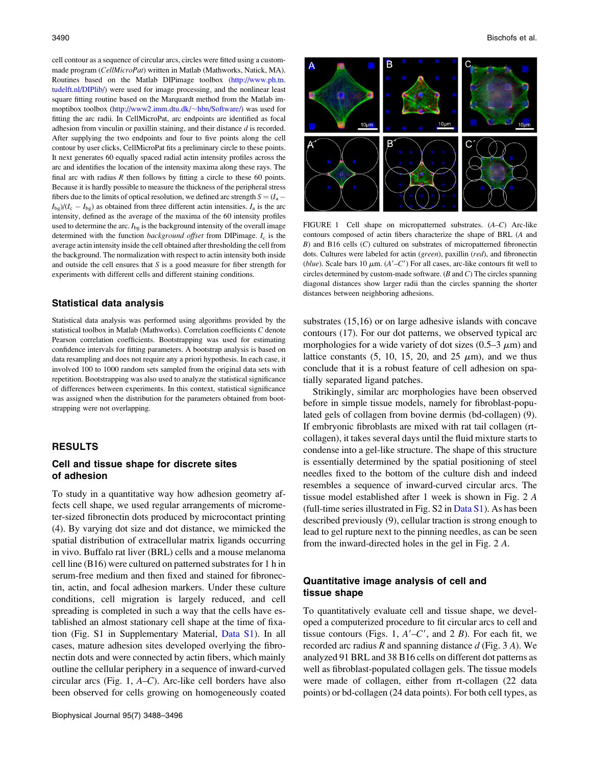cell contour as a sequence of circular arcs, circles were fitted using a custommade program (CellMicroPat) written in Matlab (Mathworks, Natick, MA). Routines based on the Matlab DIPimage toolbox [\(http://www.ph.tn.](http://www.ph.tn.tudelft.nl/DIPlib/) [tudelft.nl/DIPlib/\)](http://www.ph.tn.tudelft.nl/DIPlib/) were used for image processing, and the nonlinear least square fitting routine based on the Marquardt method from the Matlab immoptibox toolbox ([http://www2.imm.dtu.dk/](http://www2.imm.dtu.dk/~hbn/Software/)~[hbn/Software/\)](http://www2.imm.dtu.dk/~hbn/Software/) was used for fitting the arc radii. In CellMicroPat, arc endpoints are identified as focal adhesion from vinculin or paxillin staining, and their distance d is recorded. After supplying the two endpoints and four to five points along the cell contour by user clicks, CellMicroPat fits a preliminary circle to these points. It next generates 60 equally spaced radial actin intensity profiles across the arc and identifies the location of the intensity maxima along these rays. The final arc with radius  $R$  then follows by fitting a circle to these 60 points. Because it is hardly possible to measure the thickness of the peripheral stress fibers due to the limits of optical resolution, we defined arc strength  $S = (I_a - I_a)$  $I_{\text{bg}}/(I_{\text{c}} - I_{\text{bg}})$  as obtained from three different actin intensities.  $I_{\text{a}}$  is the arc intensity, defined as the average of the maxima of the 60 intensity profiles used to determine the arc.  $I_{\text{bg}}$  is the background intensity of the overall image determined with the function *background offset* from DIPimage.  $I_c$  is the average actin intensity inside the cell obtained after thresholding the cell from the background. The normalization with respect to actin intensity both inside and outside the cell ensures that  $S$  is a good measure for fiber strength for experiments with different cells and different staining conditions.

#### Statistical data analysis

Statistical data analysis was performed using algorithms provided by the statistical toolbox in Matlab (Mathworks). Correlation coefficients C denote Pearson correlation coefficients. Bootstrapping was used for estimating confidence intervals for fitting parameters. A bootstrap analysis is based on data resampling and does not require any a priori hypothesis. In each case, it involved 100 to 1000 random sets sampled from the original data sets with repetition. Bootstrapping was also used to analyze the statistical significance of differences between experiments. In this context, statistical significance was assigned when the distribution for the parameters obtained from bootstrapping were not overlapping.

## RESULTS

## Cell and tissue shape for discrete sites of adhesion

To study in a quantitative way how adhesion geometry affects cell shape, we used regular arrangements of micrometer-sized fibronectin dots produced by microcontact printing (4). By varying dot size and dot distance, we mimicked the spatial distribution of extracellular matrix ligands occurring in vivo. Buffalo rat liver (BRL) cells and a mouse melanoma cell line (B16) were cultured on patterned substrates for 1 h in serum-free medium and then fixed and stained for fibronectin, actin, and focal adhesion markers. Under these culture conditions, cell migration is largely reduced, and cell spreading is completed in such a way that the cells have established an almost stationary cell shape at the time of fixation (Fig. S1 in Supplementary Material, [Data S1](http://www.biophysj.org/cgi/data/biophysj.108.134296/DC1/1)). In all cases, mature adhesion sites developed overlying the fibronectin dots and were connected by actin fibers, which mainly outline the cellular periphery in a sequence of inward-curved circular arcs (Fig. 1, A–C). Arc-like cell borders have also been observed for cells growing on homogeneously coated



FIGURE 1 Cell shape on micropatterned substrates. (A–C) Arc-like contours composed of actin fibers characterize the shape of BRL (A and  $B$ ) and B16 cells  $(C)$  cultured on substrates of micropatterned fibronectin dots. Cultures were labeled for actin (green), paxillin (red), and fibronectin (blue). Scale bars 10  $\mu$ m. (A'-C') For all cases, arc-like contours fit well to circles determined by custom-made software.  $(B \text{ and } C)$  The circles spanning diagonal distances show larger radii than the circles spanning the shorter distances between neighboring adhesions.

substrates (15,16) or on large adhesive islands with concave contours (17). For our dot patterns, we observed typical arc morphologies for a wide variety of dot sizes  $(0.5-3 \mu m)$  and lattice constants  $(5, 10, 15, 20, \text{ and } 25 \mu \text{m})$ , and we thus conclude that it is a robust feature of cell adhesion on spatially separated ligand patches.

Strikingly, similar arc morphologies have been observed before in simple tissue models, namely for fibroblast-populated gels of collagen from bovine dermis (bd-collagen) (9). If embryonic fibroblasts are mixed with rat tail collagen (rtcollagen), it takes several days until the fluid mixture starts to condense into a gel-like structure. The shape of this structure is essentially determined by the spatial positioning of steel needles fixed to the bottom of the culture dish and indeed resembles a sequence of inward-curved circular arcs. The tissue model established after 1 week is shown in Fig. 2 A (full-time series illustrated in Fig. S2 in [Data S1\)](http://www.biophysj.org/cgi/data/biophysj.108.134296/DC1/1). As has been described previously (9), cellular traction is strong enough to lead to gel rupture next to the pinning needles, as can be seen from the inward-directed holes in the gel in Fig. 2 A.

# Quantitative image analysis of cell and tissue shape

To quantitatively evaluate cell and tissue shape, we developed a computerized procedure to fit circular arcs to cell and tissue contours (Figs. 1,  $A'-C'$ , and 2 B). For each fit, we recorded arc radius R and spanning distance  $d$  (Fig. 3 A). We analyzed 91 BRL and 38 B16 cells on different dot patterns as well as fibroblast-populated collagen gels. The tissue models were made of collagen, either from rt-collagen (22 data points) or bd-collagen (24 data points). For both cell types, as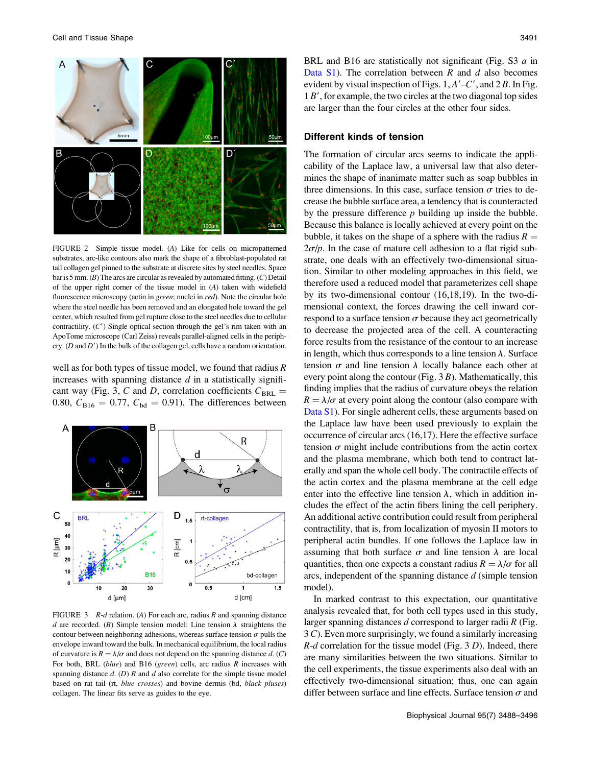

FIGURE 2 Simple tissue model. (A) Like for cells on micropatterned substrates, arc-like contours also mark the shape of a fibroblast-populated rat tail collagen gel pinned to the substrate at discrete sites by steel needles. Space bar is 5 mm.  $(B)$  The arcs are circular as revealed by automated fitting.  $(C)$  Detail of the upper right corner of the tissue model in (A) taken with widefield fluorescence microscopy (actin in green; nuclei in red). Note the circular hole where the steel needle has been removed and an elongated hole toward the gel center, which resulted from gel rupture close to the steel needles due to cellular contractility.  $(C')$  Single optical section through the gel's rim taken with an ApoTome microscope (Carl Zeiss) reveals parallel-aligned cells in the periphery.  $(D \text{ and } D')$  In the bulk of the collagen gel, cells have a random orientation.

well as for both types of tissue model, we found that radius  $$ increases with spanning distance  $d$  in a statistically significant way (Fig. 3, C and D, correlation coefficients  $C_{BRL}$  = 0.80,  $C_{B16} = 0.77$ ,  $C_{bd} = 0.91$ ). The differences between



FIGURE 3  $R-d$  relation. (A) For each arc, radius R and spanning distance d are recorded. (B) Simple tension model: Line tension  $\lambda$  straightens the contour between neighboring adhesions, whereas surface tension  $\sigma$  pulls the envelope inward toward the bulk. In mechanical equilibrium, the local radius of curvature is  $R = \lambda/\sigma$  and does not depend on the spanning distance d. (C) For both, BRL (blue) and B16 (green) cells, arc radius  $R$  increases with spanning distance  $d. (D)$  R and  $d$  also correlate for the simple tissue model based on rat tail (rt, blue crosses) and bovine dermis (bd, black pluses) collagen. The linear fits serve as guides to the eye.

BRL and B16 are statistically not significant (Fig. S3 a in [Data S1](http://www.biophysj.org/cgi/data/biophysj.108.134296/DC1/1)). The correlation between  $R$  and  $d$  also becomes evident by visual inspection of Figs.  $1, A'-C'$ , and  $2B$ . In Fig.  $1 B<sup>'</sup>$ , for example, the two circles at the two diagonal top sides are larger than the four circles at the other four sides.

# Different kinds of tension

The formation of circular arcs seems to indicate the applicability of the Laplace law, a universal law that also determines the shape of inanimate matter such as soap bubbles in three dimensions. In this case, surface tension  $\sigma$  tries to decrease the bubble surface area, a tendency that is counteracted by the pressure difference  $p$  building up inside the bubble. Because this balance is locally achieved at every point on the bubble, it takes on the shape of a sphere with the radius  $R =$  $2\sigma/p$ . In the case of mature cell adhesion to a flat rigid substrate, one deals with an effectively two-dimensional situation. Similar to other modeling approaches in this field, we therefore used a reduced model that parameterizes cell shape by its two-dimensional contour (16,18,19). In the two-dimensional context, the forces drawing the cell inward correspond to a surface tension  $\sigma$  because they act geometrically to decrease the projected area of the cell. A counteracting force results from the resistance of the contour to an increase in length, which thus corresponds to a line tension  $\lambda$ . Surface tension  $\sigma$  and line tension  $\lambda$  locally balance each other at every point along the contour (Fig. 3 B). Mathematically, this finding implies that the radius of curvature obeys the relation  $R = \lambda/\sigma$  at every point along the contour (also compare with [Data S1\)](http://www.biophysj.org/cgi/data/biophysj.108.134296/DC1/1). For single adherent cells, these arguments based on the Laplace law have been used previously to explain the occurrence of circular arcs (16,17). Here the effective surface tension  $\sigma$  might include contributions from the actin cortex and the plasma membrane, which both tend to contract laterally and span the whole cell body. The contractile effects of the actin cortex and the plasma membrane at the cell edge enter into the effective line tension  $\lambda$ , which in addition includes the effect of the actin fibers lining the cell periphery. An additional active contribution could result from peripheral contractility, that is, from localization of myosin II motors to peripheral actin bundles. If one follows the Laplace law in assuming that both surface  $\sigma$  and line tension  $\lambda$  are local quantities, then one expects a constant radius  $R = \lambda/\sigma$  for all arcs, independent of the spanning distance d (simple tension model).

In marked contrast to this expectation, our quantitative analysis revealed that, for both cell types used in this study, larger spanning distances  $d$  correspond to larger radii  $R$  (Fig. 3 C). Even more surprisingly, we found a similarly increasing  $R-d$  correlation for the tissue model (Fig. 3 D). Indeed, there are many similarities between the two situations. Similar to the cell experiments, the tissue experiments also deal with an effectively two-dimensional situation; thus, one can again differ between surface and line effects. Surface tension  $\sigma$  and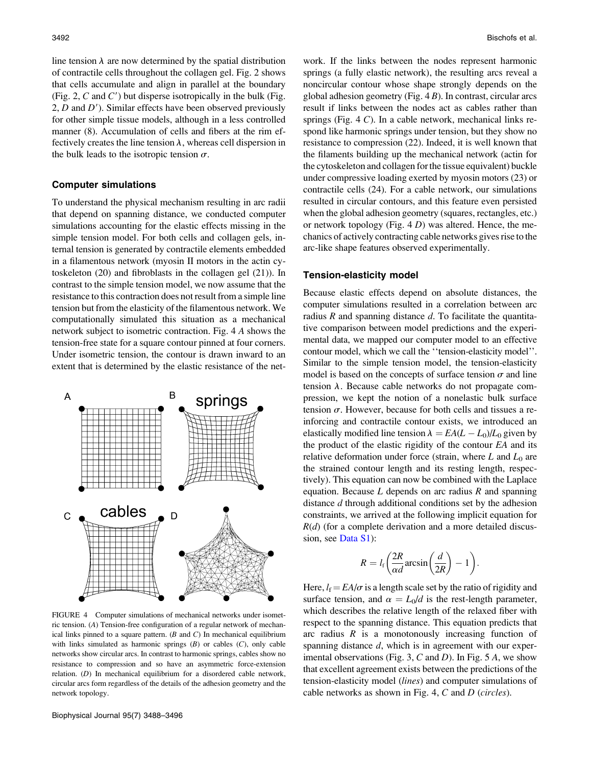line tension  $\lambda$  are now determined by the spatial distribution of contractile cells throughout the collagen gel. Fig. 2 shows that cells accumulate and align in parallel at the boundary (Fig. 2,  $C$  and  $C'$ ) but disperse isotropically in the bulk (Fig. 2,  $D$  and  $D'$ ). Similar effects have been observed previously for other simple tissue models, although in a less controlled manner (8). Accumulation of cells and fibers at the rim effectively creates the line tension  $\lambda$ , whereas cell dispersion in the bulk leads to the isotropic tension  $\sigma$ .

### Computer simulations

To understand the physical mechanism resulting in arc radii that depend on spanning distance, we conducted computer simulations accounting for the elastic effects missing in the simple tension model. For both cells and collagen gels, internal tension is generated by contractile elements embedded in a filamentous network (myosin II motors in the actin cytoskeleton (20) and fibroblasts in the collagen gel (21)). In contrast to the simple tension model, we now assume that the resistance to this contraction does not result from a simple line tension but from the elasticity of the filamentous network. We computationally simulated this situation as a mechanical network subject to isometric contraction. Fig. 4 A shows the tension-free state for a square contour pinned at four corners. Under isometric tension, the contour is drawn inward to an extent that is determined by the elastic resistance of the net-



FIGURE 4 Computer simulations of mechanical networks under isometric tension. (A) Tension-free configuration of a regular network of mechanical links pinned to a square pattern.  $(B \text{ and } C)$  In mechanical equilibrium with links simulated as harmonic springs  $(B)$  or cables  $(C)$ , only cable networks show circular arcs. In contrast to harmonic springs, cables show no resistance to compression and so have an asymmetric force-extension relation. (D) In mechanical equilibrium for a disordered cable network, circular arcs form regardless of the details of the adhesion geometry and the network topology.

work. If the links between the nodes represent harmonic springs (a fully elastic network), the resulting arcs reveal a noncircular contour whose shape strongly depends on the global adhesion geometry (Fig. 4 B). In contrast, circular arcs result if links between the nodes act as cables rather than springs (Fig. 4 C). In a cable network, mechanical links respond like harmonic springs under tension, but they show no resistance to compression (22). Indeed, it is well known that the filaments building up the mechanical network (actin for the cytoskeleton and collagen for the tissue equivalent) buckle under compressive loading exerted by myosin motors (23) or contractile cells (24). For a cable network, our simulations resulted in circular contours, and this feature even persisted when the global adhesion geometry (squares, rectangles, etc.) or network topology (Fig.  $4 D$ ) was altered. Hence, the mechanics of actively contracting cable networks gives rise to the arc-like shape features observed experimentally.

## Tension-elasticity model

Because elastic effects depend on absolute distances, the computer simulations resulted in a correlation between arc radius R and spanning distance  $d$ . To facilitate the quantitative comparison between model predictions and the experimental data, we mapped our computer model to an effective contour model, which we call the ''tension-elasticity model''. Similar to the simple tension model, the tension-elasticity model is based on the concepts of surface tension  $\sigma$  and line tension  $\lambda$ . Because cable networks do not propagate compression, we kept the notion of a nonelastic bulk surface tension  $\sigma$ . However, because for both cells and tissues a reinforcing and contractile contour exists, we introduced an elastically modified line tension  $\lambda = EA(L - L_0)/L_0$  given by the product of the elastic rigidity of the contour EA and its relative deformation under force (strain, where  $L$  and  $L_0$  are the strained contour length and its resting length, respectively). This equation can now be combined with the Laplace equation. Because  $L$  depends on arc radius  $R$  and spanning distance d through additional conditions set by the adhesion constraints, we arrived at the following implicit equation for  $R(d)$  (for a complete derivation and a more detailed discussion, see [Data S1](http://www.biophysj.org/cgi/data/biophysj.108.134296/DC1/1)):

$$
R = l_{\rm f}\left(\frac{2R}{\alpha d}\arcsin\left(\frac{d}{2R}\right) - 1\right)
$$

:

Here,  $l_f = EA/\sigma$  is a length scale set by the ratio of rigidity and surface tension, and  $\alpha = L_0/d$  is the rest-length parameter, which describes the relative length of the relaxed fiber with respect to the spanning distance. This equation predicts that arc radius  $R$  is a monotonously increasing function of spanning distance d, which is in agreement with our experimental observations (Fig. 3,  $C$  and  $D$ ). In Fig. 5  $A$ , we show that excellent agreement exists between the predictions of the tension-elasticity model (lines) and computer simulations of cable networks as shown in Fig. 4, C and D (circles).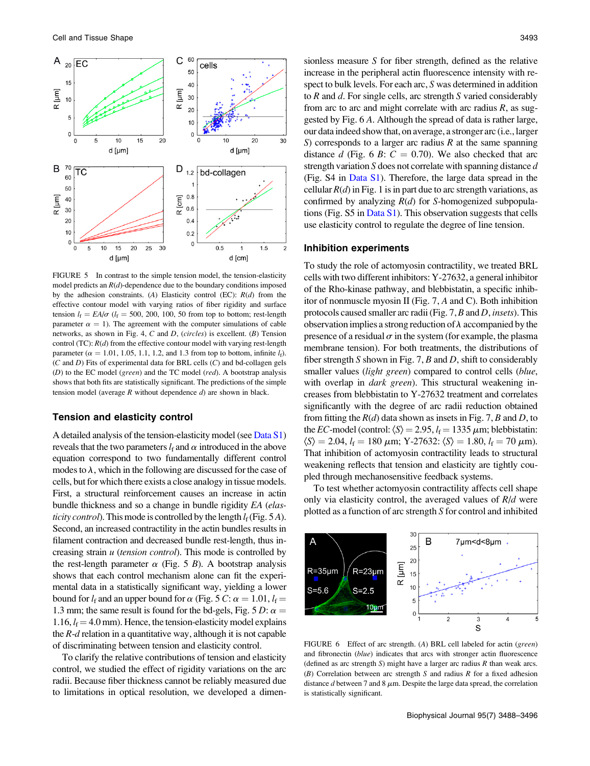

FIGURE 5 In contrast to the simple tension model, the tension-elasticity model predicts an  $R(d)$ -dependence due to the boundary conditions imposed by the adhesion constraints. (A) Elasticity control (EC):  $R(d)$  from the effective contour model with varying ratios of fiber rigidity and surface tension  $l_f = EA/\sigma$  ( $l_f = 500, 200, 100, 50$  from top to bottom; rest-length parameter  $\alpha = 1$ ). The agreement with the computer simulations of cable networks, as shown in Fig. 4, C and D, (circles) is excellent. (B) Tension control (TC):  $R(d)$  from the effective contour model with varying rest-length parameter ( $\alpha = 1.01, 1.05, 1.1, 1.2,$  and 1.3 from top to bottom, infinite  $l_f$ ).  $(C \text{ and } D)$  Fits of experimental data for BRL cells  $(C)$  and bd-collagen gels (D) to the EC model (green) and the TC model (red). A bootstrap analysis shows that both fits are statistically significant. The predictions of the simple tension model (average  $R$  without dependence  $d$ ) are shown in black.

## Tension and elasticity control

A detailed analysis of the tension-elasticity model (see [Data S1\)](http://www.biophysj.org/cgi/data/biophysj.108.134296/DC1/1) reveals that the two parameters  $l_f$  and  $\alpha$  introduced in the above equation correspond to two fundamentally different control modes to  $\lambda$ , which in the following are discussed for the case of cells, but for which there exists a close analogy in tissue models. First, a structural reinforcement causes an increase in actin bundle thickness and so a change in bundle rigidity EA (elasticity control). This mode is controlled by the length  $l_f$  (Fig. 5 A). Second, an increased contractility in the actin bundles results in filament contraction and decreased bundle rest-length, thus increasing strain  $u$  (tension control). This mode is controlled by the rest-length parameter  $\alpha$  (Fig. 5 B). A bootstrap analysis shows that each control mechanism alone can fit the experimental data in a statistically significant way, yielding a lower bound for  $l_f$  and an upper bound for  $\alpha$  (Fig. 5 C:  $\alpha = 1.01$ ,  $l_f =$ 1.3 mm; the same result is found for the bd-gels, Fig. 5 D:  $\alpha =$ 1.16,  $l_f = 4.0$  mm). Hence, the tension-elasticity model explains the  $R-d$  relation in a quantitative way, although it is not capable of discriminating between tension and elasticity control.

To clarify the relative contributions of tension and elasticity control, we studied the effect of rigidity variations on the arc radii. Because fiber thickness cannot be reliably measured due to limitations in optical resolution, we developed a dimen-

sionless measure S for fiber strength, defined as the relative increase in the peripheral actin fluorescence intensity with respect to bulk levels. For each arc, S was determined in addition to  $R$  and  $d$ . For single cells, arc strength  $S$  varied considerably from arc to arc and might correlate with arc radius  $R$ , as suggested by Fig. 6 A. Although the spread of data is rather large, our data indeed show that, on average, a stronger arc (i.e., larger S) corresponds to a larger arc radius  $R$  at the same spanning distance d (Fig. 6 B:  $C = 0.70$ ). We also checked that arc strength variation  $S$  does not correlate with spanning distance  $d$ (Fig. S4 in [Data S1](http://www.biophysj.org/cgi/data/biophysj.108.134296/DC1/1)). Therefore, the large data spread in the cellular  $R(d)$  in Fig. 1 is in part due to arc strength variations, as confirmed by analyzing  $R(d)$  for S-homogenized subpopulations (Fig.  $S5$  in Data  $S1$ ). This observation suggests that cells use elasticity control to regulate the degree of line tension.

#### Inhibition experiments

To study the role of actomyosin contractility, we treated BRL cells with two different inhibitors: Y-27632, a general inhibitor of the Rho-kinase pathway, and blebbistatin, a specific inhibitor of nonmuscle myosin II (Fig. 7, A and C). Both inhibition protocols caused smaller arc radii (Fig. 7, B and D, insets). This observation implies a strong reduction of  $\lambda$  accompanied by the presence of a residual  $\sigma$  in the system (for example, the plasma membrane tension). For both treatments, the distributions of fiber strength S shown in Fig. 7, B and D, shift to considerably smaller values (*light green*) compared to control cells (*blue*, with overlap in *dark green*). This structural weakening increases from blebbistatin to Y-27632 treatment and correlates significantly with the degree of arc radii reduction obtained from fitting the  $R(d)$  data shown as insets in Fig. 7, B and D, to the EC-model (control:  $\langle S \rangle = 2.95$ ,  $l_f = 1335 \mu$ m; blebbistatin:  $\langle S \rangle = 2.04$ ,  $l_f = 180 \mu m$ ; Y-27632:  $\langle S \rangle = 1.80$ ,  $l_f = 70 \mu m$ ). That inhibition of actomyosin contractility leads to structural weakening reflects that tension and elasticity are tightly coupled through mechanosensitive feedback systems.

To test whether actomyosin contractility affects cell shape only via elasticity control, the averaged values of  $R/d$  were plotted as a function of arc strength S for control and inhibited



FIGURE 6 Effect of arc strength. (A) BRL cell labeled for actin (green) and fibronectin (blue) indicates that arcs with stronger actin fluorescence (defined as arc strength  $S$ ) might have a larger arc radius  $R$  than weak arcs.  $(B)$  Correlation between arc strength S and radius R for a fixed adhesion distance d between 7 and 8  $\mu$ m. Despite the large data spread, the correlation is statistically significant.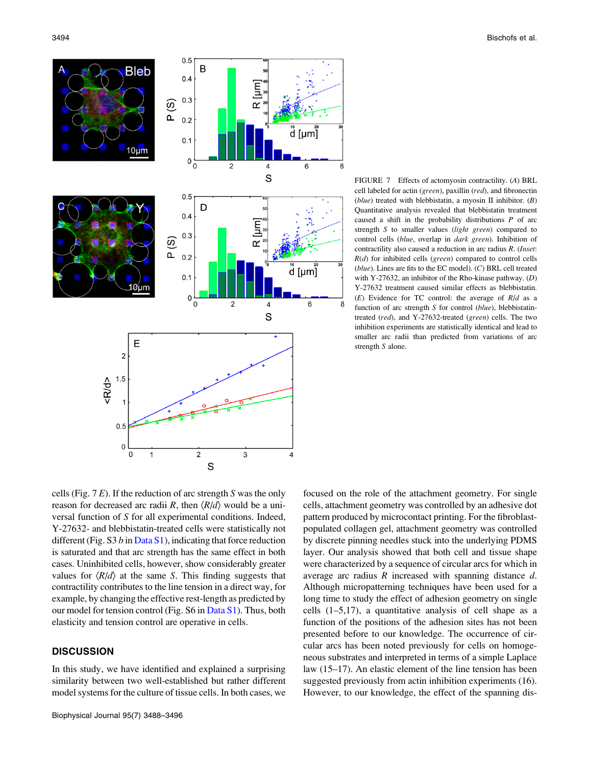

FIGURE 7 Effects of actomyosin contractility. (A) BRL cell labeled for actin (green), paxillin (red), and fibronectin (blue) treated with blebbistatin, a myosin II inhibitor.  $(B)$ Quantitative analysis revealed that blebbistatin treatment caused a shift in the probability distributions  $P$  of arc strength S to smaller values (light green) compared to control cells (blue, overlap in dark green). Inhibition of contractility also caused a reduction in arc radius R. (Inset:  $R(d)$  for inhibited cells (green) compared to control cells  $(blue)$ . Lines are fits to the EC model).  $(C)$  BRL cell treated with Y-27632, an inhibitor of the Rho-kinase pathway. (D) Y-27632 treatment caused similar effects as blebbistatin.  $(E)$  Evidence for TC control: the average of  $R/d$  as a function of arc strength S for control (blue), blebbistatintreated (red), and Y-27632-treated (green) cells. The two inhibition experiments are statistically identical and lead to smaller arc radii than predicted from variations of arc strength S alone.

8

cells (Fig.  $7 E$ ). If the reduction of arc strength S was the only reason for decreased arc radii R, then  $\langle R/d \rangle$  would be a universal function of S for all experimental conditions. Indeed, Y-27632- and blebbistatin-treated cells were statistically not different (Fig.  $S3 b$  in [Data S1](http://www.biophysj.org/cgi/data/biophysj.108.134296/DC1/1)), indicating that force reduction is saturated and that arc strength has the same effect in both cases. Uninhibited cells, however, show considerably greater values for  $\langle R/d \rangle$  at the same S. This finding suggests that contractility contributes to the line tension in a direct way, for example, by changing the effective rest-length as predicted by our model for tension control (Fig. S6 in [Data S1\)](http://www.biophysj.org/cgi/data/biophysj.108.134296/DC1/1). Thus, both elasticity and tension control are operative in cells.

# **DISCUSSION**

In this study, we have identified and explained a surprising similarity between two well-established but rather different model systems for the culture of tissue cells. In both cases, we focused on the role of the attachment geometry. For single cells, attachment geometry was controlled by an adhesive dot pattern produced by microcontact printing. For the fibroblastpopulated collagen gel, attachment geometry was controlled by discrete pinning needles stuck into the underlying PDMS layer. Our analysis showed that both cell and tissue shape were characterized by a sequence of circular arcs for which in average arc radius R increased with spanning distance d. Although micropatterning techniques have been used for a long time to study the effect of adhesion geometry on single cells (1–5,17), a quantitative analysis of cell shape as a function of the positions of the adhesion sites has not been presented before to our knowledge. The occurrence of circular arcs has been noted previously for cells on homogeneous substrates and interpreted in terms of a simple Laplace law (15–17). An elastic element of the line tension has been suggested previously from actin inhibition experiments (16). However, to our knowledge, the effect of the spanning dis-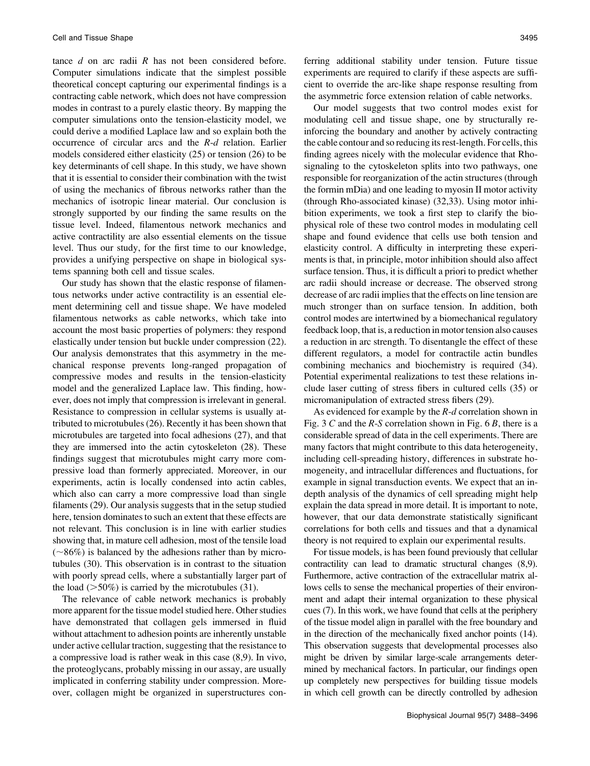tance  $d$  on arc radii  $R$  has not been considered before. Computer simulations indicate that the simplest possible theoretical concept capturing our experimental findings is a contracting cable network, which does not have compression modes in contrast to a purely elastic theory. By mapping the computer simulations onto the tension-elasticity model, we could derive a modified Laplace law and so explain both the occurrence of circular arcs and the R-d relation. Earlier models considered either elasticity (25) or tension (26) to be key determinants of cell shape. In this study, we have shown that it is essential to consider their combination with the twist of using the mechanics of fibrous networks rather than the mechanics of isotropic linear material. Our conclusion is strongly supported by our finding the same results on the tissue level. Indeed, filamentous network mechanics and active contractility are also essential elements on the tissue level. Thus our study, for the first time to our knowledge, provides a unifying perspective on shape in biological systems spanning both cell and tissue scales.

Our study has shown that the elastic response of filamentous networks under active contractility is an essential element determining cell and tissue shape. We have modeled filamentous networks as cable networks, which take into account the most basic properties of polymers: they respond elastically under tension but buckle under compression (22). Our analysis demonstrates that this asymmetry in the mechanical response prevents long-ranged propagation of compressive modes and results in the tension-elasticity model and the generalized Laplace law. This finding, however, does not imply that compression is irrelevant in general. Resistance to compression in cellular systems is usually attributed to microtubules (26). Recently it has been shown that microtubules are targeted into focal adhesions (27), and that they are immersed into the actin cytoskeleton (28). These findings suggest that microtubules might carry more compressive load than formerly appreciated. Moreover, in our experiments, actin is locally condensed into actin cables, which also can carry a more compressive load than single filaments (29). Our analysis suggests that in the setup studied here, tension dominates to such an extent that these effects are not relevant. This conclusion is in line with earlier studies showing that, in mature cell adhesion, most of the tensile load  $(-86%)$  is balanced by the adhesions rather than by microtubules (30). This observation is in contrast to the situation with poorly spread cells, where a substantially larger part of the load  $($ >50%) is carried by the microtubules (31).

The relevance of cable network mechanics is probably more apparent for the tissue model studied here. Other studies have demonstrated that collagen gels immersed in fluid without attachment to adhesion points are inherently unstable under active cellular traction, suggesting that the resistance to a compressive load is rather weak in this case (8,9). In vivo, the proteoglycans, probably missing in our assay, are usually implicated in conferring stability under compression. Moreover, collagen might be organized in superstructures conferring additional stability under tension. Future tissue experiments are required to clarify if these aspects are sufficient to override the arc-like shape response resulting from the asymmetric force extension relation of cable networks.

Our model suggests that two control modes exist for modulating cell and tissue shape, one by structurally reinforcing the boundary and another by actively contracting the cable contour and so reducing its rest-length. For cells, this finding agrees nicely with the molecular evidence that Rhosignaling to the cytoskeleton splits into two pathways, one responsible for reorganization of the actin structures (through the formin mDia) and one leading to myosin II motor activity (through Rho-associated kinase) (32,33). Using motor inhibition experiments, we took a first step to clarify the biophysical role of these two control modes in modulating cell shape and found evidence that cells use both tension and elasticity control. A difficulty in interpreting these experiments is that, in principle, motor inhibition should also affect surface tension. Thus, it is difficult a priori to predict whether arc radii should increase or decrease. The observed strong decrease of arc radii implies that the effects on line tension are much stronger than on surface tension. In addition, both control modes are intertwined by a biomechanical regulatory feedback loop, that is, a reduction in motor tension also causes a reduction in arc strength. To disentangle the effect of these different regulators, a model for contractile actin bundles combining mechanics and biochemistry is required (34). Potential experimental realizations to test these relations include laser cutting of stress fibers in cultured cells (35) or micromanipulation of extracted stress fibers (29).

As evidenced for example by the  $R-d$  correlation shown in Fig. 3 C and the  $R-S$  correlation shown in Fig. 6 B, there is a considerable spread of data in the cell experiments. There are many factors that might contribute to this data heterogeneity, including cell-spreading history, differences in substrate homogeneity, and intracellular differences and fluctuations, for example in signal transduction events. We expect that an indepth analysis of the dynamics of cell spreading might help explain the data spread in more detail. It is important to note, however, that our data demonstrate statistically significant correlations for both cells and tissues and that a dynamical theory is not required to explain our experimental results.

For tissue models, is has been found previously that cellular contractility can lead to dramatic structural changes (8,9). Furthermore, active contraction of the extracellular matrix allows cells to sense the mechanical properties of their environment and adapt their internal organization to these physical cues (7). In this work, we have found that cells at the periphery of the tissue model align in parallel with the free boundary and in the direction of the mechanically fixed anchor points (14). This observation suggests that developmental processes also might be driven by similar large-scale arrangements determined by mechanical factors. In particular, our findings open up completely new perspectives for building tissue models in which cell growth can be directly controlled by adhesion